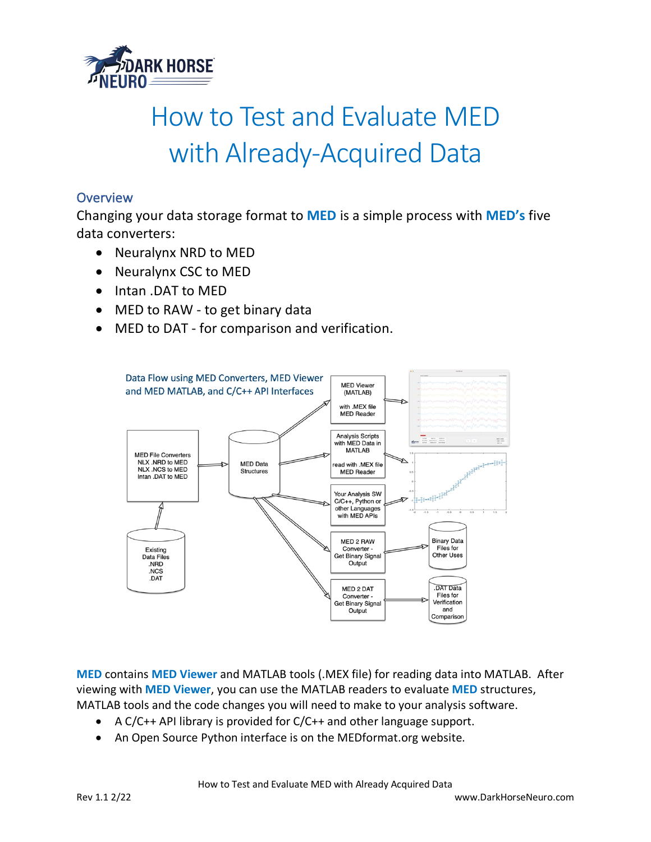

# How to Test and Evaluate MED with Already-Acquired Data

## **Overview**

Changing your data storage format to **MED** is a simple process with **MED's** five data converters:

- Neuralynx NRD to MED
- Neuralynx CSC to MED
- Intan .DAT to MED
- MED to RAW to get binary data
- MED to DAT for comparison and verification.



**MED** contains **MED Viewer** and MATLAB tools (.MEX file) for reading data into MATLAB. After viewing with **MED Viewer**, you can use the MATLAB readers to evaluate **MED** structures, MATLAB tools and the code changes you will need to make to your analysis software.

- A C/C++ API library is provided for C/C++ and other language support.
- An Open Source Python interface is on the MEDformat.org website.